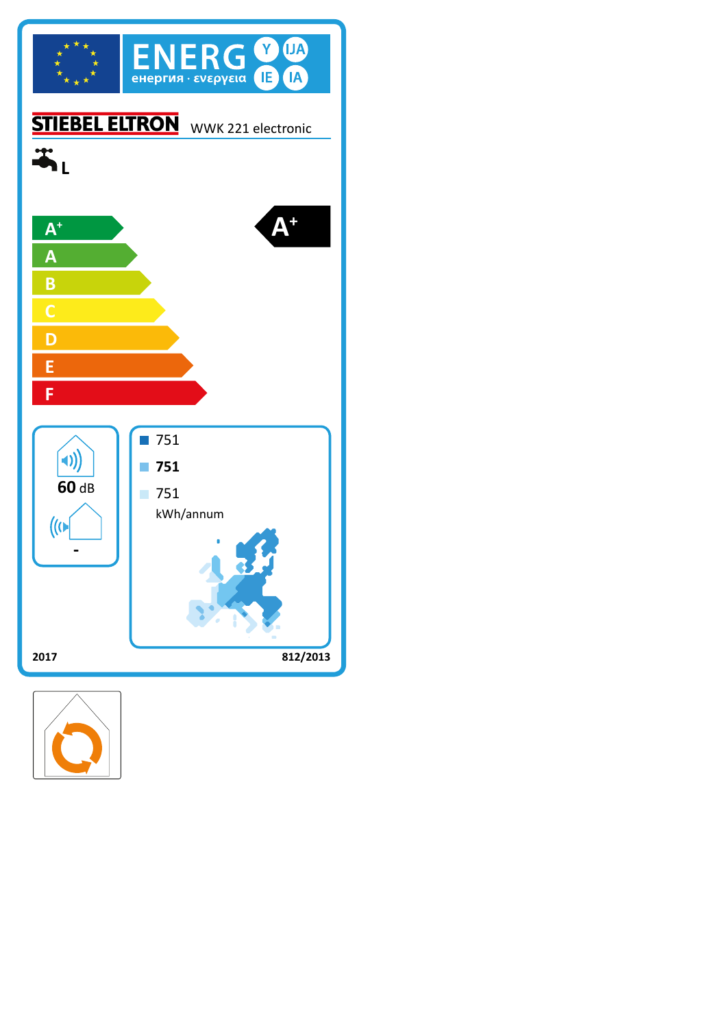